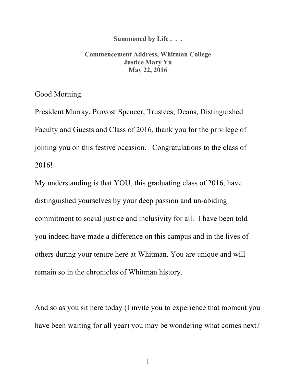## **Summoned by Life . . .**

## **Commencement Address, Whitman College Justice Mary Yu May 22, 2016**

Good Morning.

President Murray, Provost Spencer, Trustees, Deans, Distinguished Faculty and Guests and Class of 2016, thank you for the privilege of joining you on this festive occasion. Congratulations to the class of 2016!

My understanding is that YOU, this graduating class of 2016, have distinguished yourselves by your deep passion and un-abiding commitment to social justice and inclusivity for all. I have been told you indeed have made a difference on this campus and in the lives of others during your tenure here at Whitman. You are unique and will remain so in the chronicles of Whitman history.

And so as you sit here today (I invite you to experience that moment you have been waiting for all year) you may be wondering what comes next?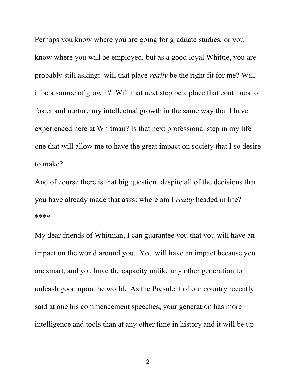Perhaps you know where you are going for graduate studies, or you know where you will be employed, but as a good loyal Whittie, you are probably still asking: will that place *really* be the right fit for me? Will it be a source of growth? Will that next step be a place that continues to foster and nurture my intellectual growth in the same way that I have experienced here at Whitman? Is that next professional step in my life one that will allow me to have the great impact on society that I so desire to make?

And of course there is that big question, despite all of the decisions that you have already made that asks: where am I *really* headed in life? \*\*\*\*

My dear friends of Whitman, I can guarantee you that you will have an impact on the world around you. You will have an impact because you are smart, and you have the capacity unlike any other generation to unleash good upon the world. As the President of our country recently said at one his commencement speeches, your generation has more intelligence and tools than at any other time in history and it will be up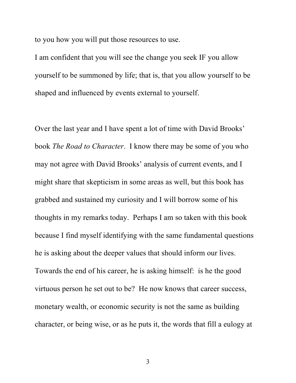to you how you will put those resources to use.

I am confident that you will see the change you seek IF you allow yourself to be summoned by life; that is, that you allow yourself to be shaped and influenced by events external to yourself.

Over the last year and I have spent a lot of time with David Brooks' book *The Road to Character*. I know there may be some of you who may not agree with David Brooks' analysis of current events, and I might share that skepticism in some areas as well, but this book has grabbed and sustained my curiosity and I will borrow some of his thoughts in my remarks today. Perhaps I am so taken with this book because I find myself identifying with the same fundamental questions he is asking about the deeper values that should inform our lives. Towards the end of his career, he is asking himself: is he the good virtuous person he set out to be? He now knows that career success, monetary wealth, or economic security is not the same as building character, or being wise, or as he puts it, the words that fill a eulogy at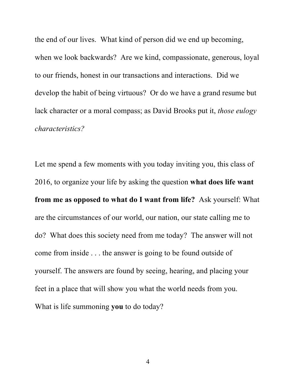the end of our lives. What kind of person did we end up becoming, when we look backwards? Are we kind, compassionate, generous, loyal to our friends, honest in our transactions and interactions. Did we develop the habit of being virtuous? Or do we have a grand resume but lack character or a moral compass; as David Brooks put it, *those eulogy characteristics?*

Let me spend a few moments with you today inviting you, this class of 2016, to organize your life by asking the question **what does life want from me as opposed to what do I want from life?** Ask yourself: What are the circumstances of our world, our nation, our state calling me to do? What does this society need from me today? The answer will not come from inside . . . the answer is going to be found outside of yourself. The answers are found by seeing, hearing, and placing your feet in a place that will show you what the world needs from you. What is life summoning **you** to do today?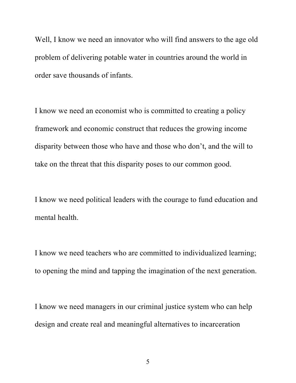Well, I know we need an innovator who will find answers to the age old problem of delivering potable water in countries around the world in order save thousands of infants.

I know we need an economist who is committed to creating a policy framework and economic construct that reduces the growing income disparity between those who have and those who don't, and the will to take on the threat that this disparity poses to our common good.

I know we need political leaders with the courage to fund education and mental health.

I know we need teachers who are committed to individualized learning; to opening the mind and tapping the imagination of the next generation.

I know we need managers in our criminal justice system who can help design and create real and meaningful alternatives to incarceration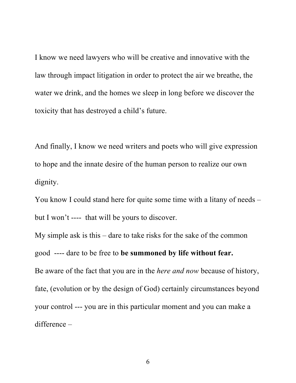I know we need lawyers who will be creative and innovative with the law through impact litigation in order to protect the air we breathe, the water we drink, and the homes we sleep in long before we discover the toxicity that has destroyed a child's future.

And finally, I know we need writers and poets who will give expression to hope and the innate desire of the human person to realize our own dignity.

You know I could stand here for quite some time with a litany of needs – but I won't ---- that will be yours to discover.

My simple ask is this – dare to take risks for the sake of the common good ---- dare to be free to **be summoned by life without fear.** Be aware of the fact that you are in the *here and now* because of history, fate, (evolution or by the design of God) certainly circumstances beyond your control --- you are in this particular moment and you can make a difference –